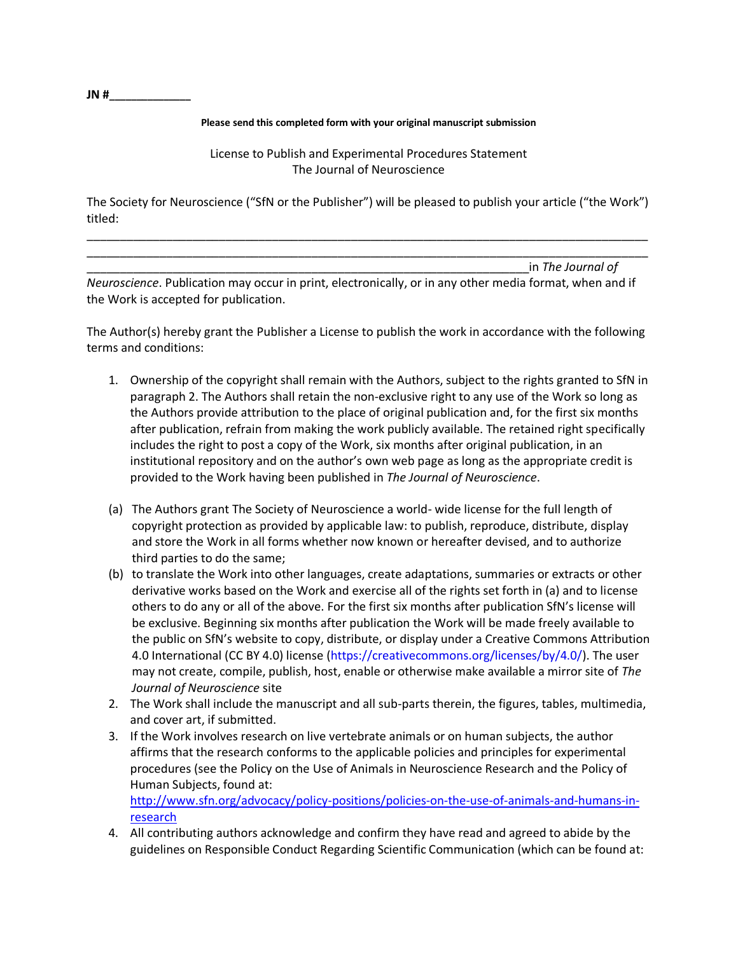**JN #\_\_\_\_\_\_\_\_\_\_\_\_\_\_\_** 

## **Please send this completed form with your original manuscript submission**

License to Publish and Experimental Procedures Statement The Journal of Neuroscience

The Society for Neuroscience ("SfN or the Publisher") will be pleased to publish your article ("the Work") titled:

\_\_\_\_\_\_\_\_\_\_\_\_\_\_\_\_\_\_\_\_\_\_\_\_\_\_\_\_\_\_\_\_\_\_\_\_\_\_\_\_\_\_\_\_\_\_\_\_\_\_\_\_\_\_\_\_\_\_\_\_\_\_\_\_\_\_\_\_\_\_\_\_\_\_\_\_\_\_\_\_\_\_\_\_\_ \_\_\_\_\_\_\_\_\_\_\_\_\_\_\_\_\_\_\_\_\_\_\_\_\_\_\_\_\_\_\_\_\_\_\_\_\_\_\_\_\_\_\_\_\_\_\_\_\_\_\_\_\_\_\_\_\_\_\_\_\_\_\_\_\_\_\_\_\_\_\_\_\_\_\_\_\_\_\_\_\_\_\_\_\_

\_\_\_\_\_\_\_\_\_\_\_\_\_\_\_\_\_\_\_\_\_\_\_\_\_\_\_\_\_\_\_\_\_\_\_\_\_\_\_\_\_\_\_\_\_\_\_\_\_\_\_\_\_\_\_\_\_\_\_\_\_\_\_\_\_\_\_in *The Journal of* 

*Neuroscience*. Publication may occur in print, electronically, or in any other media format, when and if the Work is accepted for publication.

The Author(s) hereby grant the Publisher a License to publish the work in accordance with the following terms and conditions:

- 1. Ownership of the copyright shall remain with the Authors, subject to the rights granted to SfN in paragraph 2. The Authors shall retain the non-exclusive right to any use of the Work so long as the Authors provide attribution to the place of original publication and, for the first six months after publication, refrain from making the work publicly available. The retained right specifically includes the right to post a copy of the Work, six months after original publication, in an institutional repository and on the author's own web page as long as the appropriate credit is provided to the Work having been published in *The Journal of Neuroscience*.
- (a) The Authors grant The Society of Neuroscience a world- wide license for the full length of copyright protection as provided by applicable law: to publish, reproduce, distribute, display and store the Work in all forms whether now known or hereafter devised, and to authorize third parties to do the same;
- (b) to translate the Work into other languages, create adaptations, summaries or extracts or other derivative works based on the Work and exercise all of the rights set forth in (a) and to license others to do any or all of the above. For the first six months after publication SfN's license will be exclusive. Beginning six months after publication the Work will be made freely available to the public on SfN's website to copy, distribute, or display under a Creative Commons Attribution 4.0 International (CC BY 4.0) license (https://creativecommons.org/licenses/by/4.0/). The user may not create, compile, publish, host, enable or otherwise make available a mirror site of *The Journal of Neuroscience* site
- 2. The Work shall include the manuscript and all sub-parts therein, the figures, tables, multimedia, and cover art, if submitted.
- 3. If the Work involves research on live vertebrate animals or on human subjects, the author affirms that the research conforms to the applicable policies and principles for experimental procedures (see the Policy on the Use of Animals in Neuroscience Research and the Policy of Human Subjects, found at: [http://www.sfn.org/advocacy/policy-positions/policies-on-the-use-of-animals-and-humans-in-](http://www.sfn.org/advocacy/policy-positions/policies-on-the-use-of-animals-and-humans-in-research)

[research](http://www.sfn.org/advocacy/policy-positions/policies-on-the-use-of-animals-and-humans-in-research)

4. All contributing authors acknowledge and confirm they have read and agreed to abide by the guidelines on Responsible Conduct Regarding Scientific Communication (which can be found at: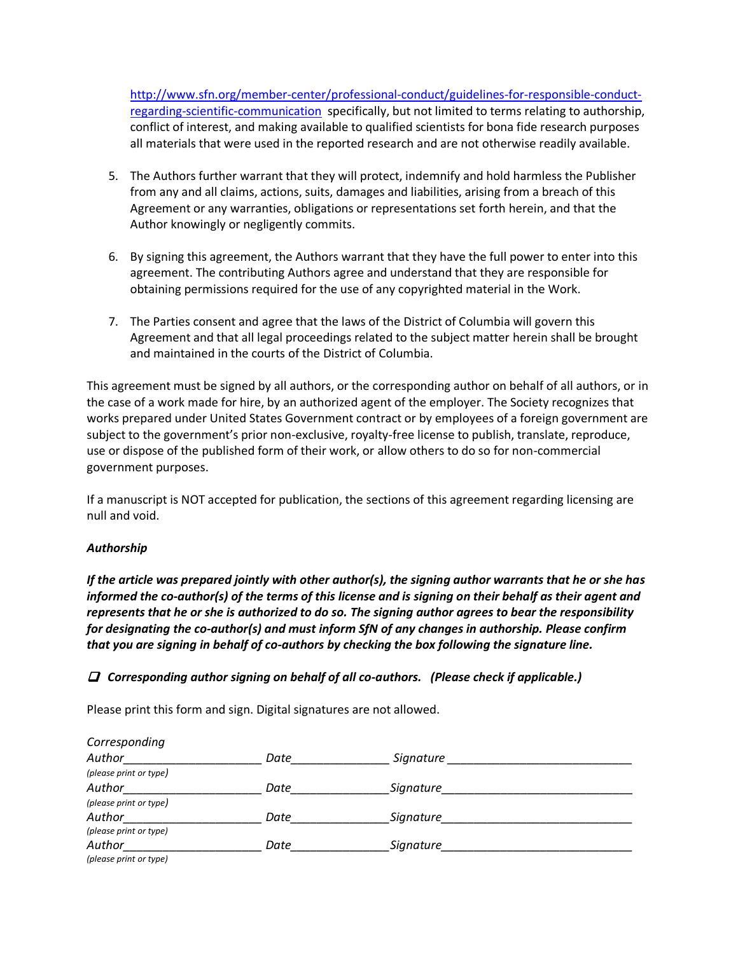[http://www.sfn.org/member-center/professional-conduct/guidelines-for-responsible-conduct](http://www.sfn.org/member-center/professional-conduct/guidelines-for-responsible-conduct-regarding-scientific-communication)[regarding-scientific-communication](http://www.sfn.org/member-center/professional-conduct/guidelines-for-responsible-conduct-regarding-scientific-communication) specifically, but not limited to terms relating to authorship, conflict of interest, and making available to qualified scientists for bona fide research purposes all materials that were used in the reported research and are not otherwise readily available.

- 5. The Authors further warrant that they will protect, indemnify and hold harmless the Publisher from any and all claims, actions, suits, damages and liabilities, arising from a breach of this Agreement or any warranties, obligations or representations set forth herein, and that the Author knowingly or negligently commits.
- 6. By signing this agreement, the Authors warrant that they have the full power to enter into this agreement. The contributing Authors agree and understand that they are responsible for obtaining permissions required for the use of any copyrighted material in the Work.
- 7. The Parties consent and agree that the laws of the District of Columbia will govern this Agreement and that all legal proceedings related to the subject matter herein shall be brought and maintained in the courts of the District of Columbia.

This agreement must be signed by all authors, or the corresponding author on behalf of all authors, or in the case of a work made for hire, by an authorized agent of the employer. The Society recognizes that works prepared under United States Government contract or by employees of a foreign government are subject to the government's prior non-exclusive, royalty-free license to publish, translate, reproduce, use or dispose of the published form of their work, or allow others to do so for non-commercial government purposes.

If a manuscript is NOT accepted for publication, the sections of this agreement regarding licensing are null and void.

## *Authorship*

*If the article was prepared jointly with other author(s), the signing author warrants that he or she has informed the co-author(s) of the terms of this license and is signing on their behalf as their agent and represents that he or she is authorized to do so. The signing author agrees to bear the responsibility for designating the co-author(s) and must inform SfN of any changes in authorship. Please confirm that you are signing in behalf of co-authors by checking the box following the signature line.* 

## *Corresponding author signing on behalf of all co-authors. (Please check if applicable.)*

Please print this form and sign. Digital signatures are not allowed.

| Corresponding          |      |           |
|------------------------|------|-----------|
| Author                 | Date | Signature |
| (please print or type) |      |           |
| Author                 | Date | Signature |
| (please print or type) |      |           |
| Author                 | Date | Signature |
| (please print or type) |      |           |
| Author                 | Date | Signature |
| (please print or type) |      |           |